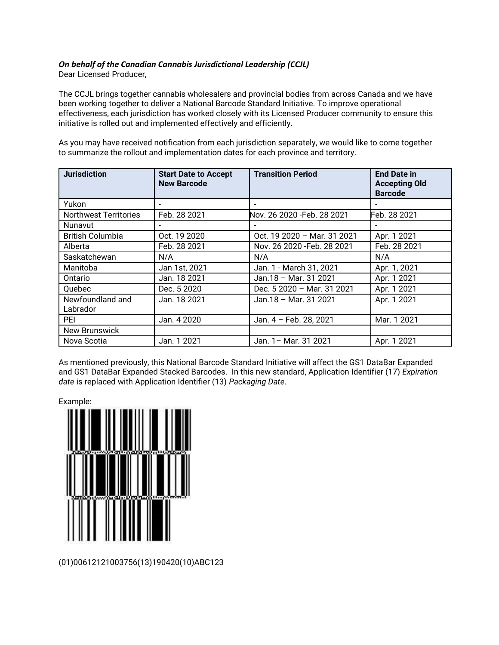## *On behalf of the Canadian Cannabis Jurisdictional Leadership (CCJL)*

Dear Licensed Producer,

The CCJL brings together cannabis wholesalers and provincial bodies from across Canada and we have been working together to deliver a National Barcode Standard Initiative. To improve operational effectiveness, each jurisdiction has worked closely with its Licensed Producer community to ensure this initiative is rolled out and implemented effectively and efficiently.

As you may have received notification from each jurisdiction separately, we would like to come together to summarize the rollout and implementation dates for each province and territory.

| <b>Jurisdiction</b>          | <b>Start Date to Accept</b><br><b>New Barcode</b> | <b>Transition Period</b>    | <b>End Date in</b><br><b>Accepting Old</b><br><b>Barcode</b> |
|------------------------------|---------------------------------------------------|-----------------------------|--------------------------------------------------------------|
| Yukon                        |                                                   |                             |                                                              |
| <b>Northwest Territories</b> | Feb. 28 2021                                      | Nov. 26 2020 - Feb. 28 2021 | Feb. 28 2021                                                 |
| <b>Nunavut</b>               | $\blacksquare$                                    |                             |                                                              |
| <b>British Columbia</b>      | Oct. 19 2020                                      | Oct. 19 2020 - Mar. 31 2021 | Apr. 1 2021                                                  |
| Alberta                      | Feb. 28 2021                                      | Nov. 26 2020 - Feb. 28 2021 | Feb. 28 2021                                                 |
| Saskatchewan                 | N/A                                               | N/A                         | N/A                                                          |
| Manitoba                     | Jan 1st, 2021                                     | Jan. 1 - March 31, 2021     | Apr. 1, 2021                                                 |
| Ontario                      | Jan. 18 2021                                      | Jan.18 - Mar. 31 2021       | Apr. 1 2021                                                  |
| Quebec                       | Dec. 5 2020                                       | Dec. 5 2020 - Mar. 31 2021  | Apr. 1 2021                                                  |
| Newfoundland and<br>Labrador | Jan. 18 2021                                      | Jan. $18 -$ Mar. 31 2021    | Apr. 1 2021                                                  |
| PEI                          | Jan. 4 2020                                       | Jan. 4 - Feb. 28, 2021      | Mar. 1 2021                                                  |
| <b>New Brunswick</b>         |                                                   |                             |                                                              |
| Nova Scotia                  | Jan. 1 2021                                       | Jan. 1- Mar. 31 2021        | Apr. 1 2021                                                  |

As mentioned previously, this National Barcode Standard Initiative will affect the GS1 DataBar Expanded and GS1 DataBar Expanded Stacked Barcodes. In this new standard, Application Identifier (17) *Expiration date* is replaced with Application Identifier (13) *Packaging Date*.



(01)00612121003756(13)190420(10)ABC123